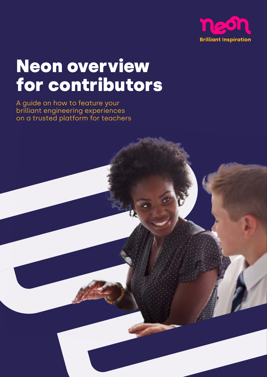

# Neon overview for contributors

A guide on how to feature your brilliant engineering experiences on a trusted platform for teachers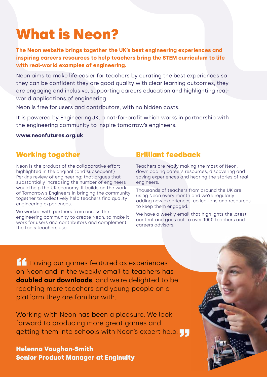## What is Neon?

**The Neon website brings together the UK's best engineering experiences and inspiring careers resources to help teachers bring the STEM curriculum to life with real-world examples of engineering.**

Neon aims to make life easier for teachers by curating the best experiences so they can be confident they are good quality with clear learning outcomes, they are engaging and inclusive, supporting careers education and highlighting realworld applications of engineering.

Neon is free for users and contributors, with no hidden costs.

It is powered by EngineeringUK, a not-for-profit which works in partnership with the engineering community to inspire tomorrow's engineers.

#### **[www.neonfutures.org.uk](http://www.neonfutures.org.uk)**

## Working together

Neon is the product of the collaborative effort highlighted in the original (and subsequent) Perkins review of engineering; that argues that substantially increasing the number of engineers would help the UK economy. It builds on the work of Tomorrow's Engineers in bringing the community together to collectively help teachers find quality engineering experiences.

We worked with partners from across the engineering community to create Neon, to make it work for users and contributors and complement the tools teachers use.

## Brilliant feedback

Teachers are really making the most of Neon, downloading careers resources, discovering and saving experiences and hearing the stories of real engineers.

Thousands of teachers from around the UK are using Neon every month and we're regularly adding new experiences, collections and resources to keep them engaged.

We have a weekly email that highlights the latest content and goes out to over 1000 teachers and careers advisors.

**A Having our games featured as experiences**<br>
on Neon and in the weekly email to teachers has on Neon and in the weekly email to teachers has **doubled our downloads**, and we're delighted to be reaching more teachers and young people on a platform they are familiar with.

Working with Neon has been a pleasure. We look forward to producing more great games and getting them into schools with Neon's expert help. <mark>J.,</mark><br>Helenna Vaughan-Smith

Helenna Vaughan‑Smith Senior Product Manager at Enginuity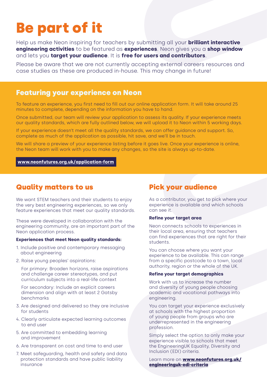## Be part of it

Help us make Neon inspiring for teachers by submitting all your **brilliant interactive engineering activities** to be featured as **experiences**. Neon gives you a **shop window** and lets you **target your audience**. It is **free for users and contributors**.

Please be aware that we are not currently accepting external careers resources and case studies as these are produced in-house. This may change in future!

## Featuring your experience on Neon

To feature an experience, you first need to fill out our online application form. It will take around 25 minutes to complete, depending on the information you have to hand.

Once submitted, our team will review your application to assess its quality. If your experience meets our quality standards, which are fully outlined below, we will upload it to Neon within 5 working days.

If your experience doesn't meet all the quality standards, we can offer guidance and support. So, complete as much of the application as possible, hit save, and we'll be in touch.

We will share a preview of your experience listing before it goes live. Once your experience is online, the Neon team will work with you to make any changes, so the site is always up-to-date.

#### **[www.neonfutures.org.uk/application-form](http://https://neonfutures.org.uk/application-form/)**

### Quality matters to us

We want STEM teachers and their students to enjoy the very best engineering experiences, so we only feature experiences that meet our quality standards.

These were developed in collaboration with the engineering community, are an important part of the Neon application process.

#### **Experiences that meet Neon quality standards:**

- 1. Include positive and contemporary messaging about engineering
- 2. Raise young peoples' aspirations:

For primary: Broaden horizons, raise aspirations and challenge career stereotypes, and put curriculum subjects into a real-life context

For secondary: Include an explicit careers dimension and align with at least 2 Gatsby benchmarks

- 3. Are designed and delivered so they are inclusive for students
- 4. Clearly articulate expected learning outcomes to end user
- 5. Are committed to embedding learning and improvement
- 6. Are transparent on cost and time to end user
- 7. Meet safeguarding, health and safety and data protection standards and have public liability insurance

## Pick your audience

As a contributor, you get to pick where your experience is available and which schools can see it.

#### **Refine your target area**

Neon connects schools to experiences in their local area, ensuring that teachers can find experiences that are right for their students.

You can choose where you want your experience to be available. This can range from a specific postcode to a town, local authority, region or the whole of the UK.

#### **Refine your target demographics**

Work with us to increase the number and diversity of young people choosing academic and vocational pathways into engineering.

You can target your experience exclusively at schools with the highest proportion of young people from groups who are underrepresented in the engineering profession.

Simply select the option to only make your experience visible to schools that meet the EngineeringUK Equality, Diversity and Inclusion (EDI) criteria.

Learn more on [www.neonfutures.org.uk/](http://www.neonfutures.org.uk/engineeringuk-edi-criteria) [engineeringuk-edi-criteria](http://www.neonfutures.org.uk/engineeringuk-edi-criteria)